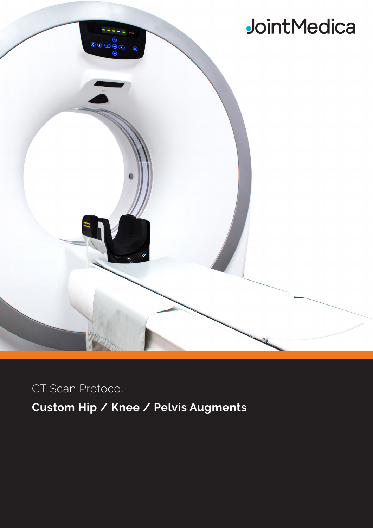

CT Scan Protocol

**Custom Hip / Knee / Pelvis Augments**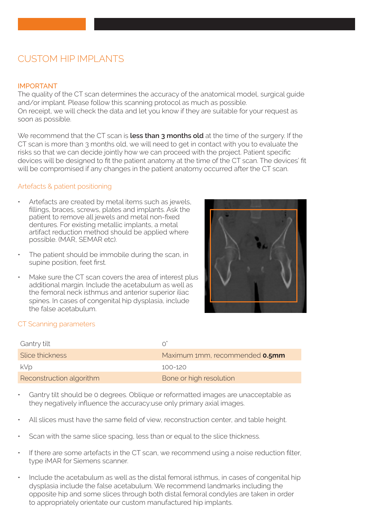## CUSTOM HIP IMPI ANTS

### IMPORTANT

The quality of the CT scan determines the accuracy of the anatomical model, surgical guide and/or implant. Please follow this scanning protocol as much as possible. On receipt, we will check the data and let you know if they are suitable for your request as soon as possible.

We recommend that the CT scan is **less than 3 months old** at the time of the surgery. If the CT scan is more than 3 months old, we will need to get in contact with you to evaluate the risks so that we can decide jointly how we can proceed with the project. Patient specific devices will be designed to fit the patient anatomy at the time of the CT scan. The devices' fit will be compromised if any changes in the patient anatomy occurred after the CT scan.

### Artefacts & patient positioning

- Artefacts are created by metal items such as jewels, fillings, braces, screws, plates and implants. Ask the patient to remove all jewels and metal non-fixed dentures. For existing metallic implants, a metal artifact reduction method should be applied where possible. (MAR, SEMAR etc).
- The patient should be immobile during the scan, in supine position, feet first.
- Make sure the CT scan covers the area of interest plus additional margin. Include the acetabulum as well as the femoral neck isthmus and anterior superior iliac spines. In cases of congenital hip dysplasia, include the false acetabulum.



## CT Scanning parameters

| Gantry tilt              | $\cap$                         |
|--------------------------|--------------------------------|
| Slice thickness          | Maximum 1mm, recommended 0.5mm |
| kVp                      | 100-120                        |
| Reconstruction algorithm | Bone or high resolution        |

- Gantry tilt should be 0 degrees. Oblique or reformatted images are unacceptable as they negatively influence the accuracy:use only primary axial images.
- All slices must have the same field of view, reconstruction center, and table height.
- Scan with the same slice spacing, less than or equal to the slice thickness.
- If there are some artefacts in the CT scan, we recommend using a noise reduction filter, type iMAR for Siemens scanner.
- Include the acetabulum as well as the distal femoral isthmus, in cases of congenital hip dysplasia include the false acetabulum. We recommend landmarks including the opposite hip and some slices through both distal femoral condyles are taken in order to appropriately orientate our custom manufactured hip implants.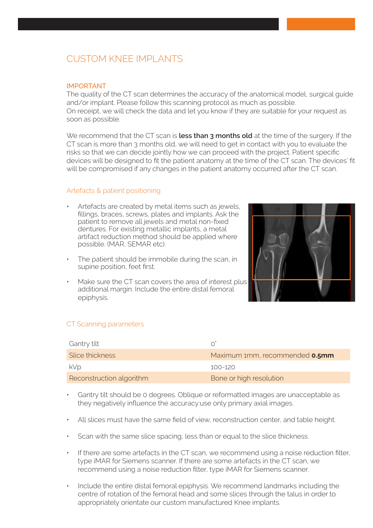## CUSTOM KNEE IMPLANTS

### IMPORTANT

The quality of the CT scan determines the accuracy of the anatomical model, surgical guide and/or implant. Please follow this scanning protocol as much as possible. On receipt, we will check the data and let you know if they are suitable for your request as soon as possible.

We recommend that the CT scan is **less than 3 months old** at the time of the surgery. If the CT scan is more than 3 months old, we will need to get in contact with you to evaluate the risks so that we can decide jointly how we can proceed with the project. Patient specific devices will be designed to fit the patient anatomy at the time of the CT scan. The devices' fit will be compromised if any changes in the patient anatomy occurred after the CT scan.

#### Artefacts & patient positioning

- Artefacts are created by metal items such as jewels, fillings, braces, screws, plates and implants. Ask the patient to remove all jewels and metal non-fixed dentures. For existing metallic implants, a metal artifact reduction method should be applied where possible. (MAR, SEMAR etc).
- The patient should be immobile during the scan, in supine position, feet first.
- Make sure the CT scan covers the area of interest plus additional margin. Include the entire distal femoral epiphysis.



## CT Scanning parameters

| Gantry tilt              |                                       |
|--------------------------|---------------------------------------|
| Slice thickness          | Maximum 1mm, recommended <b>0.5mm</b> |
| <b>kVp</b>               | $100 - 120$                           |
| Reconstruction algorithm | Bone or high resolution               |

- Gantry tilt should be 0 degrees. Oblique or reformatted images are unacceptable as they negatively influence the accuracy:use only primary axial images.
- All slices must have the same field of view, reconstruction center, and table height.
- Scan with the same slice spacing, less than or equal to the slice thickness.
- If there are some artefacts in the CT scan, we recommend using a noise reduction filter, type iMAR for Siemens scanner. If there are some artefacts in the CT scan, we recommend using a noise reduction filter, type iMAR for Siemens scanner.
- Include the entire distal femoral epiphysis. We recommend landmarks including the centre of rotation of the femoral head and some slices through the talus in order to appropriately orientate our custom manufactured Knee implants.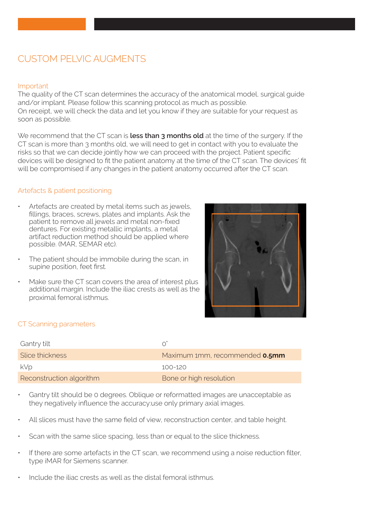# CUSTOM PELVIC AUGMENTS

### Important

The quality of the CT scan determines the accuracy of the anatomical model, surgical guide and/or implant. Please follow this scanning protocol as much as possible. On receipt, we will check the data and let you know if they are suitable for your request as soon as possible.

We recommend that the CT scan is **less than 3 months old** at the time of the surgery. If the CT scan is more than 3 months old, we will need to get in contact with you to evaluate the risks so that we can decide jointly how we can proceed with the project. Patient specific devices will be designed to fit the patient anatomy at the time of the CT scan. The devices' fit will be compromised if any changes in the patient anatomy occurred after the CT scan.

### Artefacts & patient positioning

- Artefacts are created by metal items such as jewels, fillings, braces, screws, plates and implants. Ask the patient to remove all jewels and metal non-fixed dentures. For existing metallic implants, a metal artifact reduction method should be applied where possible. (MAR, SEMAR etc).
- The patient should be immobile during the scan, in supine position, feet first.
- Make sure the CT scan covers the area of interest plus additional margin. Include the iliac crests as well as the proximal femoral isthmus.



## CT Scanning parameters

| Gantry tilt              | ∩                              |
|--------------------------|--------------------------------|
| Slice thickness          | Maximum 1mm, recommended 0.5mm |
| kVp                      | 100-120                        |
| Reconstruction algorithm | Bone or high resolution        |

- Gantry tilt should be 0 degrees. Oblique or reformatted images are unacceptable as they negatively influence the accuracy:use only primary axial images.
- All slices must have the same field of view, reconstruction center, and table height.
- Scan with the same slice spacing, less than or equal to the slice thickness.
- If there are some artefacts in the CT scan, we recommend using a noise reduction filter, type iMAR for Siemens scanner.
- Include the iliac crests as well as the distal femoral isthmus.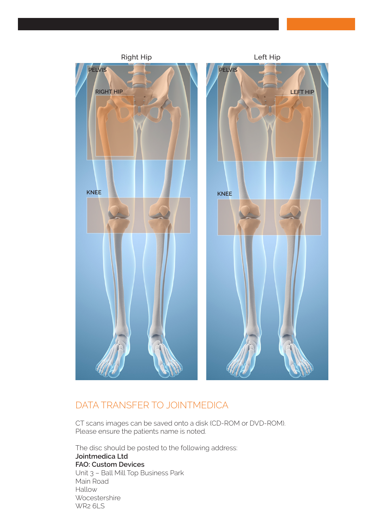

## DATA TRANSFER TO JOINTMEDICA

CT scans images can be saved onto a disk (CD-ROM or DVD-ROM). Please ensure the patients name is noted.

The disc should be posted to the following address: **Jointmedica Ltd FAO: Custom Devices** Unit 3 – Ball Mill Top Business Park Main Road Hallow **Wocestershire** WR2 6LS